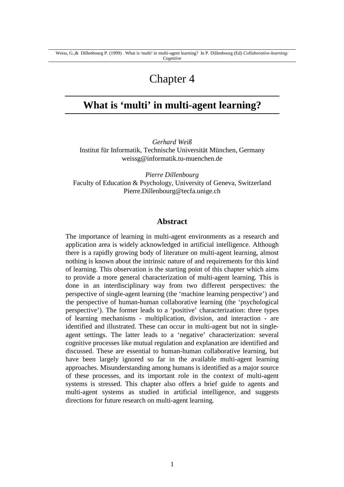# Chapter 4

## **What is 'multi' in multi-agent learning?**

*Gerhard Weiß* Institut für Informatik, Technische Universität München, Germany weissg@informatik.tu-muenchen.de

*Pierre Dillenbourg* Faculty of Education & Psychology, University of Geneva, Switzerland Pierre.Dillenbourg@tecfa.unige.ch

#### **Abstract**

The importance of learning in multi-agent environments as a research and application area is widely acknowledged in artificial intelligence. Although there is a rapidly growing body of literature on multi-agent learning, almost nothing is known about the intrinsic nature of and requirements for this kind of learning. This observation is the starting point of this chapter which aims to provide a more general characterization of multi-agent learning. This is done in an interdisciplinary way from two different perspectives: the perspective of single-agent learning (the 'machine learning perspective') and the perspective of human-human collaborative learning (the 'psychological perspective'). The former leads to a 'positive' characterization: three types of learning mechanisms - multiplication, division, and interaction - are identified and illustrated. These can occur in multi-agent but not in singleagent settings. The latter leads to a 'negative' characterization: several cognitive processes like mutual regulation and explanation are identified and discussed. These are essential to human-human collaborative learning, but have been largely ignored so far in the available multi-agent learning approaches. Misunderstanding among humans is identified as a major source of these processes, and its important role in the context of multi-agent systems is stressed. This chapter also offers a brief guide to agents and multi-agent systems as studied in artificial intelligence, and suggests directions for future research on multi-agent learning.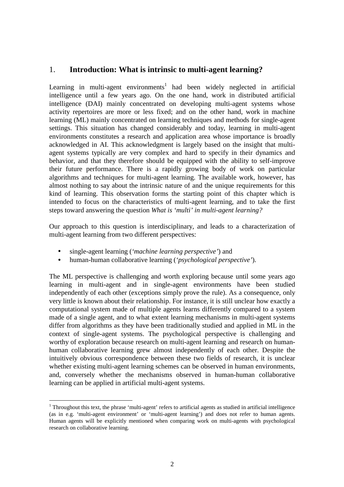## 1. **Introduction: What is intrinsic to multi-agent learning?**

Learning in multi-agent environments<sup>1</sup> had been widely neglected in artificial intelligence until a few years ago. On the one hand, work in distributed artificial intelligence (DAI) mainly concentrated on developing multi-agent systems whose activity repertoires are more or less fixed; and on the other hand, work in machine learning (ML) mainly concentrated on learning techniques and methods for single-agent settings. This situation has changed considerably and today, learning in multi-agent environments constitutes a research and application area whose importance is broadly acknowledged in AI. This acknowledgment is largely based on the insight that multiagent systems typically are very complex and hard to specify in their dynamics and behavior, and that they therefore should be equipped with the ability to self-improve their future performance. There is a rapidly growing body of work on particular algorithms and techniques for multi-agent learning. The available work, however, has almost nothing to say about the intrinsic nature of and the unique requirements for this kind of learning. This observation forms the starting point of this chapter which is intended to focus on the characteristics of multi-agent learning, and to take the first steps toward answering the question *What is 'multi' in multi-agent learning?*

Our approach to this question is interdisciplinary, and leads to a characterization of multi-agent learning from two different perspectives:

• single-agent learning (*'machine learning perspective'*) and

 $\overline{a}$ 

• human-human collaborative learning (*'psychological perspective'*).

The ML perspective is challenging and worth exploring because until some years ago learning in multi-agent and in single-agent environments have been studied independently of each other (exceptions simply prove the rule). As a consequence, only very little is known about their relationship. For instance, it is still unclear how exactly a computational system made of multiple agents learns differently compared to a system made of a single agent, and to what extent learning mechanisms in multi-agent systems differ from algorithms as they have been traditionally studied and applied in ML in the context of single-agent systems. The psychological perspective is challenging and worthy of exploration because research on multi-agent learning and research on humanhuman collaborative learning grew almost independently of each other. Despite the intuitively obvious correspondence between these two fields of research, it is unclear whether existing multi-agent learning schemes can be observed in human environments, and, conversely whether the mechanisms observed in human-human collaborative learning can be applied in artificial multi-agent systems.

 $1$  Throughout this text, the phrase 'multi-agent' refers to artificial agents as studied in artificial intelligence (as in e.g. 'multi-agent environment' or 'multi-agent learning') and does not refer to human agents. Human agents will be explicitly mentioned when comparing work on multi-agents with psychological research on collaborative learning.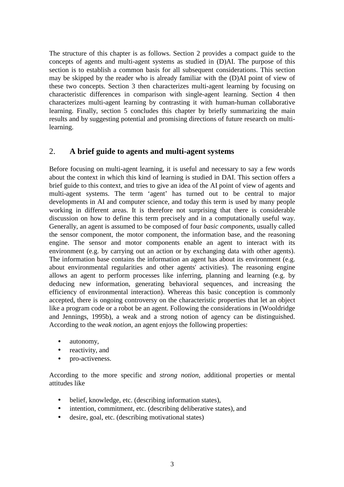The structure of this chapter is as follows. Section 2 provides a compact guide to the concepts of agents and multi-agent systems as studied in (D)AI. The purpose of this section is to establish a common basis for all subsequent considerations. This section may be skipped by the reader who is already familiar with the (D)AI point of view of these two concepts. Section 3 then characterizes multi-agent learning by focusing on characteristic differences in comparison with single-agent learning. Section 4 then characterizes multi-agent learning by contrasting it with human-human collaborative learning. Finally, section 5 concludes this chapter by briefly summarizing the main results and by suggesting potential and promising directions of future research on multilearning.

## 2. **A brief guide to agents and multi-agent systems**

Before focusing on multi-agent learning, it is useful and necessary to say a few words about the context in which this kind of learning is studied in DAI. This section offers a brief guide to this context, and tries to give an idea of the AI point of view of agents and multi-agent systems. The term 'agent' has turned out to be central to major developments in AI and computer science, and today this term is used by many people working in different areas. It is therefore not surprising that there is considerable discussion on how to define this term precisely and in a computationally useful way. Generally, an agent is assumed to be composed of four *basic components*, usually called the sensor component, the motor component, the information base, and the reasoning engine. The sensor and motor components enable an agent to interact with its environment (e.g. by carrying out an action or by exchanging data with other agents). The information base contains the information an agent has about its environment (e.g. about environmental regularities and other agents' activities). The reasoning engine allows an agent to perform processes like inferring, planning and learning (e.g. by deducing new information, generating behavioral sequences, and increasing the efficiency of environmental interaction). Whereas this basic conception is commonly accepted, there is ongoing controversy on the characteristic properties that let an object like a program code or a robot be an agent. Following the considerations in (Wooldridge and Jennings, 1995b), a weak and a strong notion of agency can be distinguished. According to the *weak notion*, an agent enjoys the following properties:

- autonomy,
- reactivity, and
- pro-activeness.

According to the more specific and *strong notion*, additional properties or mental attitudes like

- belief, knowledge, etc. (describing information states),
- intention, commitment, etc. (describing deliberative states), and
- desire, goal, etc. (describing motivational states)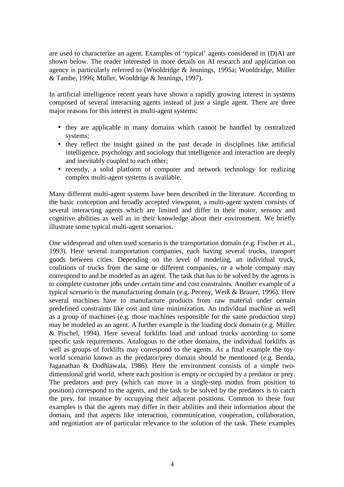are used to characterize an agent. Examples of 'typical' agents considered in (D)AI are shown below. The reader interested in more details on AI research and application on agency is particularly referred to (Wooldridge & Jennings, 1995a; Wooldridge, Müller & Tambe, 1996; Müller, Wooldrige & Jennings, 1997).

In artificial intelligence recent years have shown a rapidly growing interest in systems composed of several interacting agents instead of just a single agent. There are three major reasons for this interest in multi-agent systems:

- they are applicable in many domains which cannot be handled by centralized systems;
- they reflect the insight gained in the past decade in disciplines like artificial intelligence, psychology and sociology that intelligence and interaction are deeply and inevitably coupled to each other;
- recently, a solid platform of computer and network technology for realizing complex multi-agent systems is available.

Many different multi-agent systems have been described in the literature. According to the basic conception and broadly accepted viewpoint, a multi-agent system consists of several interacting agents which are limited and differ in their motor, sensory and cognitive abilities as well as in their knowledge about their environment. We briefly illustrate some typical multi-agent scenarios.

One widespread and often used scenario is the transportation domain (e.g. Fischer et al., 1993). Here several transportation companies, each having several trucks, transport goods between cities. Depending on the level of modeling, an individual truck, coalitions of trucks from the same or different companies, or a whole company may correspond to and be modeled as an agent. The task that has to be solved by the agents is to complete customer jobs under certain time and cost constraints. Another example of a typical scenario is the manufacturing domain (e.g. Peceny, Weiß & Brauer, 1996). Here several machines have to manufacture products from raw material under certain predefined constraints like cost and time minimization. An individual machine as well as a group of machines (e.g. those machines responsible for the same production step) may be modeled as an agent. A further example is the loading dock domain (e.g. Müller & Pischel, 1994). Here several forklifts load and unload trucks according to some specific task requirements. Analogous to the other domains, the individual forklifts as well as groups of forklifts may correspond to the agents. As a final example the toyworld scenario known as the predator/prey domain should be mentioned (e.g. Benda, Jaganathan & Dodhiawala, 1986). Here the environment consists of a simple twodimensional grid world, where each position is empty or occupied by a predator or prey. The predators and prey (which can move in a single-step modus from position to position) correspond to the agents, and the task to be solved by the predators is to catch the prey, for instance by occupying their adjacent positions. Common to these four examples is that the agents may differ in their abilities and their information about the domain, and that aspects like interaction, communication, cooperation, collaboration, and negotiation are of particular relevance to the solution of the task. These examples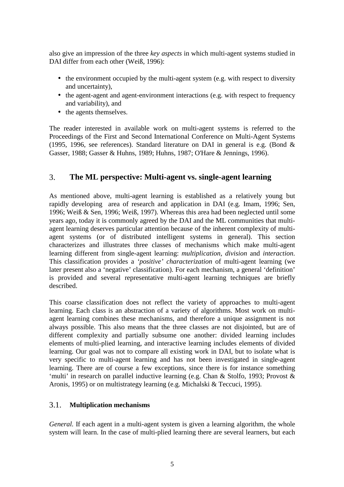also give an impression of the three *key aspects* in which multi-agent systems studied in DAI differ from each other (Weiß, 1996):

- the environment occupied by the multi-agent system (e.g. with respect to diversity and uncertainty),
- the agent-agent and agent-environment interactions (e.g. with respect to frequency and variability), and
- the agents themselves.

The reader interested in available work on multi-agent systems is referred to the Proceedings of the First and Second International Conference on Multi-Agent Systems (1995, 1996, see references). Standard literature on DAI in general is e.g. (Bond & Gasser, 1988; Gasser & Huhns, 1989; Huhns, 1987; O'Hare & Jennings, 1996).

## 3. **The ML perspective: Multi-agent vs. single-agent learning**

As mentioned above, multi-agent learning is established as a relatively young but rapidly developing area of research and application in DAI (e.g. Imam, 1996; Sen, 1996; Weiß & Sen, 1996; Weiß, 1997). Whereas this area had been neglected until some years ago, today it is commonly agreed by the DAI and the ML communities that multiagent learning deserves particular attention because of the inherent complexity of multiagent systems (or of distributed intelligent systems in general). This section characterizes and illustrates three classes of mechanisms which make multi-agent learning different from single-agent learning: *multiplication, division* and *interaction*. This classification provides a *'positive' characterization* of multi-agent learning (we later present also a 'negative' classification). For each mechanism, a general 'definition' is provided and several representative multi-agent learning techniques are briefly described.

This coarse classification does not reflect the variety of approaches to multi-agent learning. Each class is an abstraction of a variety of algorithms. Most work on multiagent learning combines these mechanisms, and therefore a unique assignment is not always possible. This also means that the three classes are not disjointed, but are of different complexity and partially subsume one another: divided learning includes elements of multi-plied learning, and interactive learning includes elements of divided learning. Our goal was not to compare all existing work in DAI, but to isolate what is very specific to multi-agent learning and has not been investigated in single-agent learning. There are of course a few exceptions, since there is for instance something 'multi' in research on parallel inductive learning (e.g. Chan & Stolfo, 1993; Provost & Aronis, 1995) or on multistrategy learning (e.g. Michalski & Teccuci, 1995).

#### 3.1. **Multiplication mechanisms**

*General.* If each agent in a multi-agent system is given a learning algorithm, the whole system will learn. In the case of multi-plied learning there are several learners, but each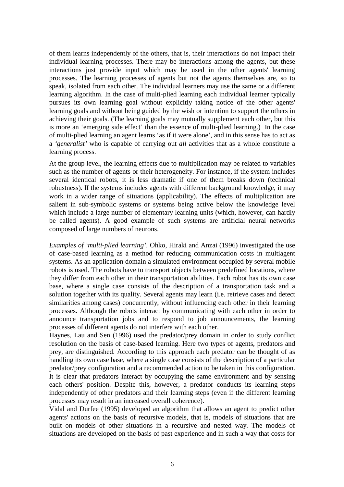of them learns independently of the others, that is, their interactions do not impact their individual learning processes. There may be interactions among the agents, but these interactions just provide input which may be used in the other agents' learning processes. The learning processes of agents but not the agents themselves are, so to speak, isolated from each other. The individual learners may use the same or a different learning algorithm. In the case of multi-plied learning each individual learner typically pursues its own learning goal without explicitly taking notice of the other agents' learning goals and without being guided by the wish or intention to support the others in achieving their goals. (The learning goals may mutually supplement each other, but this is more an 'emerging side effect' than the essence of multi-plied learning.) In the case of multi-plied learning an agent learns 'as if it were alone', and in this sense has to act as a *'generalist'* who is capable of carrying out *all* activities that as a whole constitute a learning process.

At the group level, the learning effects due to multiplication may be related to variables such as the number of agents or their heterogeneity. For instance, if the system includes several identical robots, it is less dramatic if one of them breaks down (technical robustness). If the systems includes agents with different background knowledge, it may work in a wider range of situations (applicability). The effects of multiplication are salient in sub-symbolic systems or systems being active below the knowledge level which include a large number of elementary learning units (which, however, can hardly be called agents). A good example of such systems are artificial neural networks composed of large numbers of neurons.

*Examples of 'multi-plied learning'.* Ohko, Hiraki and Anzai (1996) investigated the use of case-based learning as a method for reducing communication costs in multiagent systems. As an application domain a simulated environment occupied by several mobile robots is used. The robots have to transport objects between predefined locations, where they differ from each other in their transportation abilities. Each robot has its own case base, where a single case consists of the description of a transportation task and a solution together with its quality. Several agents may learn (i.e. retrieve cases and detect similarities among cases) concurrently, without influencing each other in their learning processes. Although the robots interact by communicating with each other in order to announce transportation jobs and to respond to job announcements, the learning processes of different agents do not interfere with each other.

Haynes, Lau and Sen (1996) used the predator/prey domain in order to study conflict resolution on the basis of case-based learning. Here two types of agents, predators and prey, are distinguished. According to this approach each predator can be thought of as handling its own case base, where a single case consists of the description of a particular predator/prey configuration and a recommended action to be taken in this configuration. It is clear that predators interact by occupying the same environment and by sensing each others' position. Despite this, however, a predator conducts its learning steps independently of other predators and their learning steps (even if the different learning processes may result in an increased overall coherence).

Vidal and Durfee (1995) developed an algorithm that allows an agent to predict other agents' actions on the basis of recursive models, that is, models of situations that are built on models of other situations in a recursive and nested way. The models of situations are developed on the basis of past experience and in such a way that costs for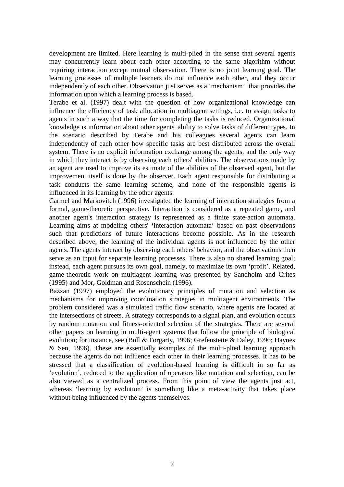development are limited. Here learning is multi-plied in the sense that several agents may concurrently learn about each other according to the same algorithm without requiring interaction except mutual observation. There is no joint learning goal. The learning processes of multiple learners do not influence each other, and they occur independently of each other. Observation just serves as a 'mechanism' that provides the information upon which a learning process is based.

Terabe et al. (1997) dealt with the question of how organizational knowledge can influence the efficiency of task allocation in multiagent settings, i.e. to assign tasks to agents in such a way that the time for completing the tasks is reduced. Organizational knowledge is information about other agents' ability to solve tasks of different types. In the scenario described by Terabe and his colleagues several agents can learn independently of each other how specific tasks are best distributed across the overall system. There is no explicit information exchange among the agents, and the only way in which they interact is by observing each others' abilities. The observations made by an agent are used to improve its estimate of the abilities of the observed agent, but the improvement itself is done by the observer. Each agent responsible for distributing a task conducts the same learning scheme, and none of the responsible agents is influenced in its learning by the other agents.

Carmel and Markovitch (1996) investigated the learning of interaction strategies from a formal, game-theoretic perspective. Interaction is considered as a repeated game, and another agent's interaction strategy is represented as a finite state-action automata. Learning aims at modeling others' 'interaction automata' based on past observations such that predictions of future interactions become possible. As in the research described above, the learning of the individual agents is not influenced by the other agents. The agents interact by observing each others' behavior, and the observations then serve as an input for separate learning processes. There is also no shared learning goal; instead, each agent pursues its own goal, namely, to maximize its own 'profit'. Related, game-theoretic work on multiagent learning was presented by Sandholm and Crites (1995) and Mor, Goldman and Rosenschein (1996).

Bazzan (1997) employed the evolutionary principles of mutation and selection as mechanisms for improving coordination strategies in multiagent environments. The problem considered was a simulated traffic flow scenario, where agents are located at the intersections of streets. A strategy corresponds to a signal plan, and evolution occurs by random mutation and fitness-oriented selection of the strategies. There are several other papers on learning in multi-agent systems that follow the principle of biological evolution; for instance, see (Bull & Forgarty, 1996; Grefenstette & Daley, 1996; Haynes & Sen, 1996). These are essentially examples of the multi-plied learning approach because the agents do not influence each other in their learning processes. It has to be stressed that a classification of evolution-based learning is difficult in so far as 'evolution', reduced to the application of operators like mutation and selection, can be also viewed as a centralized process. From this point of view the agents just act, whereas 'learning by evolution' is something like a meta-activity that takes place without being influenced by the agents themselves.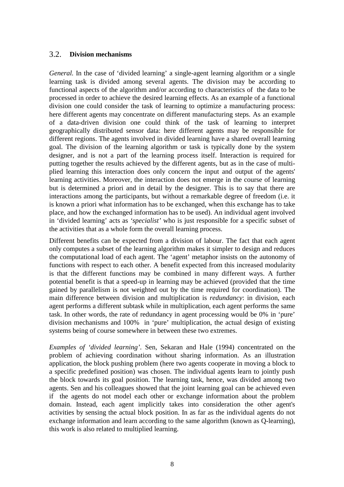#### 3.2. **Division mechanisms**

*General.* In the case of 'divided learning' a single-agent learning algorithm or a single learning task is divided among several agents. The division may be according to functional aspects of the algorithm and/or according to characteristics of the data to be processed in order to achieve the desired learning effects. As an example of a functional division one could consider the task of learning to optimize a manufacturing process: here different agents may concentrate on different manufacturing steps. As an example of a data-driven division one could think of the task of learning to interpret geographically distributed sensor data: here different agents may be responsible for different regions. The agents involved in divided learning have a shared overall learning goal. The division of the learning algorithm or task is typically done by the system designer, and is not a part of the learning process itself. Interaction is required for putting together the results achieved by the different agents, but as in the case of multiplied learning this interaction does only concern the input and output of the agents' learning activities. Moreover, the interaction does not emerge in the course of learning but is determined a priori and in detail by the designer. This is to say that there are interactions among the participants, but without a remarkable degree of freedom (i.e. it is known a priori what information has to be exchanged, when this exchange has to take place, and how the exchanged information has to be used). An individual agent involved in 'divided learning' acts as *'specialist'* who is just responsible for a specific subset of the activities that as a whole form the overall learning process.

Different benefits can be expected from a division of labour. The fact that each agent only computes a subset of the learning algorithm makes it simpler to design and reduces the computational load of each agent. The 'agent' metaphor insists on the autonomy of functions with respect to each other. A benefit expected from this increased modularity is that the different functions may be combined in many different ways. A further potential benefit is that a speed-up in learning may be achieved (provided that the time gained by parallelism is not weighted out by the time required for coordination). The main difference between division and multiplication is *redundancy*: in division, each agent performs a different subtask while in multiplication, each agent performs the same task. In other words, the rate of redundancy in agent processing would be 0% in 'pure' division mechanisms and 100% in 'pure' multiplication, the actual design of existing systems being of course somewhere in between these two extremes.

*Examples of 'divided learning'*. Sen, Sekaran and Hale (1994) concentrated on the problem of achieving coordination without sharing information. As an illustration application, the block pushing problem (here two agents cooperate in moving a block to a specific predefined position) was chosen. The individual agents learn to jointly push the block towards its goal position. The learning task, hence, was divided among two agents. Sen and his colleagues showed that the joint learning goal can be achieved even if the agents do not model each other or exchange information about the problem domain. Instead, each agent implicitly takes into consideration the other agent's activities by sensing the actual block position. In as far as the individual agents do not exchange information and learn according to the same algorithm (known as Q-learning), this work is also related to multiplied learning.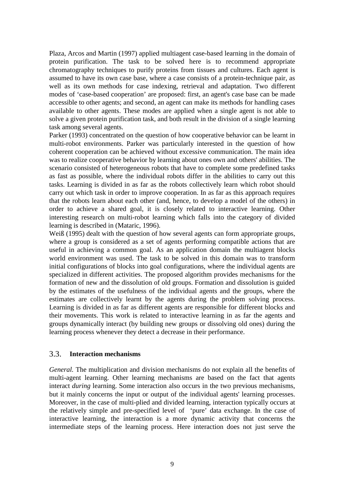Plaza, Arcos and Martin (1997) applied multiagent case-based learning in the domain of protein purification. The task to be solved here is to recommend appropriate chromatography techniques to purify proteins from tissues and cultures. Each agent is assumed to have its own case base, where a case consists of a protein-technique pair, as well as its own methods for case indexing, retrieval and adaptation. Two different modes of 'case-based cooperation' are proposed: first, an agent's case base can be made accessible to other agents; and second, an agent can make its methods for handling cases available to other agents. These modes are applied when a single agent is not able to solve a given protein purification task, and both result in the division of a single learning task among several agents.

Parker (1993) concentrated on the question of how cooperative behavior can be learnt in multi-robot environments. Parker was particularly interested in the question of how coherent cooperation can be achieved without excessive communication. The main idea was to realize cooperative behavior by learning about ones own and others' abilities. The scenario consisted of heterogeneous robots that have to complete some predefined tasks as fast as possible, where the individual robots differ in the abilities to carry out this tasks. Learning is divided in as far as the robots collectively learn which robot should carry out which task in order to improve cooperation. In as far as this approach requires that the robots learn about each other (and, hence, to develop a model of the others) in order to achieve a shared goal, it is closely related to interactive learning. Other interesting research on multi-robot learning which falls into the category of divided learning is described in (Mataric, 1996).

Weiß (1995) dealt with the question of how several agents can form appropriate groups, where a group is considered as a set of agents performing compatible actions that are useful in achieving a common goal. As an application domain the multiagent blocks world environment was used. The task to be solved in this domain was to transform initial configurations of blocks into goal configurations, where the individual agents are specialized in different activities. The proposed algorithm provides mechanisms for the formation of new and the dissolution of old groups. Formation and dissolution is guided by the estimates of the usefulness of the individual agents and the groups, where the estimates are collectively learnt by the agents during the problem solving process. Learning is divided in as far as different agents are responsible for different blocks and their movements. This work is related to interactive learning in as far the agents and groups dynamically interact (by building new groups or dissolving old ones) during the learning process whenever they detect a decrease in their performance.

#### 3.3. **Interaction mechanisms**

*General.* The multiplication and division mechanisms do not explain all the benefits of multi-agent learning. Other learning mechanisms are based on the fact that agents interact *during* learning. Some interaction also occurs in the two previous mechanisms, but it mainly concerns the input or output of the individual agents' learning processes. Moreover, in the case of multi-plied and divided learning, interaction typically occurs at the relatively simple and pre-specified level of 'pure' data exchange. In the case of interactive learning, the interaction is a more dynamic activity that concerns the intermediate steps of the learning process. Here interaction does not just serve the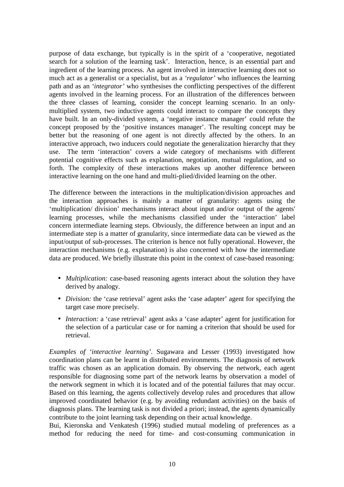purpose of data exchange, but typically is in the spirit of a 'cooperative, negotiated search for a solution of the learning task'. Interaction, hence, is an essential part and ingredient of the learning process. An agent involved in interactive learning does not so much act as a generalist or a specialist, but as a *'regulator'* who influences the learning path and as an *'integrator'* who synthesises the conflicting perspectives of the different agents involved in the learning process. For an illustration of the differences between the three classes of learning, consider the concept learning scenario. In an onlymultiplied system, two inductive agents could interact to compare the concepts they have built. In an only-divided system, a 'negative instance manager' could refute the concept proposed by the 'positive instances manager'. The resulting concept may be better but the reasoning of one agent is not directly affected by the others. In an interactive approach, two inducers could negotiate the generalization hierarchy that they use. The term 'interaction' covers a wide category of mechanisms with different potential cognitive effects such as explanation, negotiation, mutual regulation, and so forth. The complexity of these interactions makes up another difference between interactive learning on the one hand and multi-plied/divided learning on the other.

The difference between the interactions in the multiplication/division approaches and the interaction approaches is mainly a matter of granularity: agents using the 'multiplication/ division' mechanisms interact about input and/or output of the agents' learning processes, while the mechanisms classified under the 'interaction' label concern intermediate learning steps. Obviously, the difference between an input and an intermediate step is a matter of granularity, since intermediate data can be viewed as the input/output of sub-processes. The criterion is hence not fully operational. However, the interaction mechanisms (e.g. explanation) is also concerned with how the intermediate data are produced. We briefly illustrate this point in the context of case-based reasoning:

- *Multiplication:* case-based reasoning agents interact about the solution they have derived by analogy.
- *Division:* the 'case retrieval' agent asks the 'case adapter' agent for specifying the target case more precisely.
- *Interaction:* a 'case retrieval' agent asks a 'case adapter' agent for justification for the selection of a particular case or for naming a criterion that should be used for retrieval.

*Examples of 'interactive learning'*. Sugawara and Lesser (1993) investigated how coordination plans can be learnt in distributed environments. The diagnosis of network traffic was chosen as an application domain. By observing the network, each agent responsible for diagnosing some part of the network learns by observation a model of the network segment in which it is located and of the potential failures that may occur. Based on this learning, the agents collectively develop rules and procedures that allow improved coordinated behavior (e.g. by avoiding redundant activities) on the basis of diagnosis plans. The learning task is not divided a priori; instead, the agents dynamically contribute to the joint learning task depending on their actual knowledge.

Bui, Kieronska and Venkatesh (1996) studied mutual modeling of preferences as a method for reducing the need for time- and cost-consuming communication in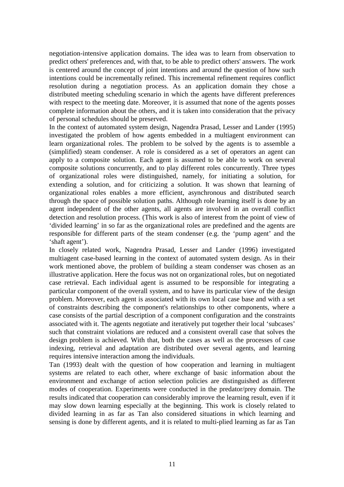negotiation-intensive application domains. The idea was to learn from observation to predict others' preferences and, with that, to be able to predict others' answers. The work is centered around the concept of joint intentions and around the question of how such intentions could be incrementally refined. This incremental refinement requires conflict resolution during a negotiation process. As an application domain they chose a distributed meeting scheduling scenario in which the agents have different preferences with respect to the meeting date. Moreover, it is assumed that none of the agents posses complete information about the others, and it is taken into consideration that the privacy of personal schedules should be preserved.

In the context of automated system design, Nagendra Prasad, Lesser and Lander (1995) investigated the problem of how agents embedded in a multiagent environment can learn organizational roles. The problem to be solved by the agents is to assemble a (simplified) steam condenser. A role is considered as a set of operators an agent can apply to a composite solution. Each agent is assumed to be able to work on several composite solutions concurrently, and to play different roles concurrently. Three types of organizational roles were distinguished, namely, for initiating a solution, for extending a solution, and for criticizing a solution. It was shown that learning of organizational roles enables a more efficient, asynchronous and distributed search through the space of possible solution paths. Although role learning itself is done by an agent independent of the other agents, all agents are involved in an overall conflict detection and resolution process. (This work is also of interest from the point of view of 'divided learning' in so far as the organizational roles are predefined and the agents are responsible for different parts of the steam condenser (e.g. the 'pump agent' and the 'shaft agent').

In closely related work, Nagendra Prasad, Lesser and Lander (1996) investigated multiagent case-based learning in the context of automated system design. As in their work mentioned above, the problem of building a steam condenser was chosen as an illustrative application. Here the focus was not on organizational roles, but on negotiated case retrieval. Each individual agent is assumed to be responsible for integrating a particular component of the overall system, and to have its particular view of the design problem. Moreover, each agent is associated with its own local case base and with a set of constraints describing the component's relationships to other components, where a case consists of the partial description of a component configuration and the constraints associated with it. The agents negotiate and iteratively put together their local 'subcases' such that constraint violations are reduced and a consistent overall case that solves the design problem is achieved. With that, both the cases as well as the processes of case indexing, retrieval and adaptation are distributed over several agents, and learning requires intensive interaction among the individuals.

Tan (1993) dealt with the question of how cooperation and learning in multiagent systems are related to each other, where exchange of basic information about the environment and exchange of action selection policies are distinguished as different modes of cooperation. Experiments were conducted in the predator/prey domain. The results indicated that cooperation can considerably improve the learning result, even if it may slow down learning especially at the beginning. This work is closely related to divided learning in as far as Tan also considered situations in which learning and sensing is done by different agents, and it is related to multi-plied learning as far as Tan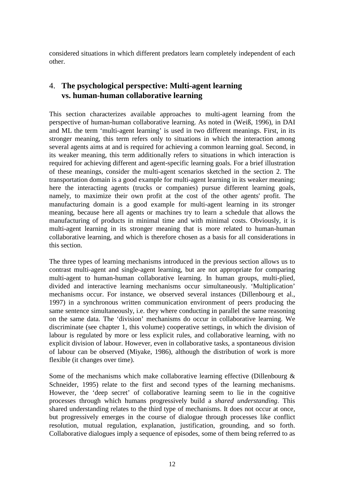considered situations in which different predators learn completely independent of each other.

## 4. **The psychological perspective: Multi-agent learning vs. human-human collaborative learning**

This section characterizes available approaches to multi-agent learning from the perspective of human-human collaborative learning. As noted in (Weiß, 1996), in DAI and ML the term 'multi-agent learning' is used in two different meanings. First, in its stronger meaning, this term refers only to situations in which the interaction among several agents aims at and is required for achieving a common learning goal. Second, in its weaker meaning, this term additionally refers to situations in which interaction is required for achieving different and agent-specific learning goals. For a brief illustration of these meanings, consider the multi-agent scenarios sketched in the section 2. The transportation domain is a good example for multi-agent learning in its weaker meaning; here the interacting agents (trucks or companies) pursue different learning goals, namely, to maximize their own profit at the cost of the other agents' profit. The manufacturing domain is a good example for multi-agent learning in its stronger meaning, because here all agents or machines try to learn a schedule that allows the manufacturing of products in minimal time and with minimal costs. Obviously, it is multi-agent learning in its stronger meaning that is more related to human-human collaborative learning, and which is therefore chosen as a basis for all considerations in this section.

The three types of learning mechanisms introduced in the previous section allows us to contrast multi-agent and single-agent learning, but are not appropriate for comparing multi-agent to human-human collaborative learning. In human groups, multi-plied, divided and interactive learning mechanisms occur simultaneously. 'Multiplication' mechanisms occur. For instance, we observed several instances (Dillenbourg et al., 1997) in a synchronous written communication environment of peers producing the same sentence simultaneously, i.e. they where conducting in parallel the same reasoning on the same data. The 'division' mechanisms do occur in collaborative learning. We discriminate (see chapter 1, this volume) cooperative settings, in which the division of labour is regulated by more or less explicit rules, and collaborative learning, with no explicit division of labour. However, even in collaborative tasks, a spontaneous division of labour can be observed (Miyake, 1986), although the distribution of work is more flexible (it changes over time).

Some of the mechanisms which make collaborative learning effective (Dillenbourg  $\&$ Schneider, 1995) relate to the first and second types of the learning mechanisms. However, the 'deep secret' of collaborative learning seem to lie in the cognitive processes through which humans progressively build a *shared understanding*. This shared understanding relates to the third type of mechanisms. It does not occur at once, but progressively emerges in the course of dialogue through processes like conflict resolution, mutual regulation, explanation, justification, grounding, and so forth. Collaborative dialogues imply a sequence of episodes, some of them being referred to as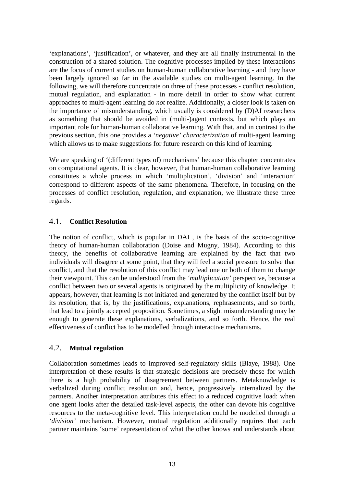'explanations', 'justification', or whatever, and they are all finally instrumental in the construction of a shared solution. The cognitive processes implied by these interactions are the focus of current studies on human-human collaborative learning - and they have been largely ignored so far in the available studies on multi-agent learning. In the following, we will therefore concentrate on three of these processes - conflict resolution, mutual regulation, and explanation - in more detail in order to show what current approaches to multi-agent learning do *not* realize. Additionally, a closer look is taken on the importance of misunderstanding, which usually is considered by (D)AI researchers as something that should be avoided in (multi-)agent contexts, but which plays an important role for human-human collaborative learning. With that, and in contrast to the previous section, this one provides a *'negative' characterization* of multi-agent learning which allows us to make suggestions for future research on this kind of learning.

We are speaking of '(different types of) mechanisms' because this chapter concentrates on computational agents. It is clear, however, that human-human collaborative learning constitutes a whole process in which 'multiplication', 'division' and 'interaction' correspond to different aspects of the same phenomena. Therefore, in focusing on the processes of conflict resolution, regulation, and explanation, we illustrate these three regards.

## 4.1. **Conflict Resolution**

The notion of conflict, which is popular in DAI , is the basis of the socio-cognitive theory of human-human collaboration (Doise and Mugny, 1984). According to this theory, the benefits of collaborative learning are explained by the fact that two individuals will disagree at some point, that they will feel a social pressure to solve that conflict, and that the resolution of this conflict may lead one or both of them to change their viewpoint. This can be understood from the *'multiplication'* perspective, because a conflict between two or several agents is originated by the multiplicity of knowledge. It appears, however, that learning is not initiated and generated by the conflict itself but by its resolution, that is, by the justifications, explanations, rephrasements, and so forth, that lead to a jointly accepted proposition. Sometimes, a slight misunderstanding may be enough to generate these explanations, verbalizations, and so forth. Hence, the real effectiveness of conflict has to be modelled through interactive mechanisms.

#### 4.2. **Mutual regulation**

Collaboration sometimes leads to improved self-regulatory skills (Blaye, 1988). One interpretation of these results is that strategic decisions are precisely those for which there is a high probability of disagreement between partners. Metaknowledge is verbalized during conflict resolution and, hence, progressively internalized by the partners. Another interpretation attributes this effect to a reduced cognitive load: when one agent looks after the detailed task-level aspects, the other can devote his cognitive resources to the meta-cognitive level. This interpretation could be modelled through a *'division'* mechanism. However, mutual regulation additionally requires that each partner maintains 'some' representation of what the other knows and understands about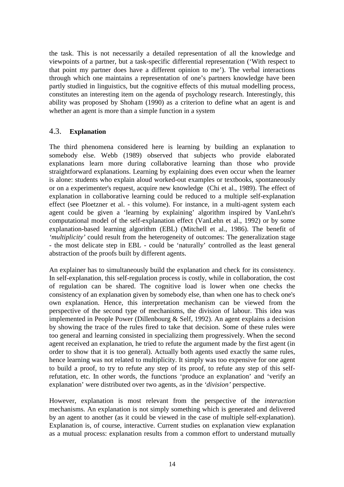the task. This is not necessarily a detailed representation of all the knowledge and viewpoints of a partner, but a task-specific differential representation ('With respect to that point my partner does have a different opinion to me'). The verbal interactions through which one maintains a representation of one's partners knowledge have been partly studied in linguistics, but the cognitive effects of this mutual modelling process, constitutes an interesting item on the agenda of psychology research. Interestingly, this ability was proposed by Shoham (1990) as a criterion to define what an agent is and whether an agent is more than a simple function in a system

#### 4.3. **Explanation**

The third phenomena considered here is learning by building an explanation to somebody else. Webb (1989) observed that subjects who provide elaborated explanations learn more during collaborative learning than those who provide straightforward explanations. Learning by explaining does even occur when the learner is alone: students who explain aloud worked-out examples or textbooks, spontaneously or on a experimenter's request, acquire new knowledge (Chi et al., 1989). The effect of explanation in collaborative learning could be reduced to a multiple self-explanation effect (see Ploetzner et al. - this volume). For instance, in a multi-agent system each agent could be given a 'learning by explaining' algorithm inspired by VanLehn's computational model of the self-explanation effect (VanLehn et al., 1992) or by some explanation-based learning algorithm (EBL) (Mitchell et al., 1986). The benefit of *'multiplicity'* could result from the heterogeneity of outcomes: The generalization stage - the most delicate step in EBL - could be 'naturally' controlled as the least general abstraction of the proofs built by different agents.

An explainer has to simultaneously build the explanation and check for its consistency. In self-explanation, this self-regulation process is costly, while in collaboration, the cost of regulation can be shared. The cognitive load is lower when one checks the consistency of an explanation given by somebody else, than when one has to check one's own explanation. Hence, this interpretation mechanism can be viewed from the perspective of the second type of mechanisms, the division of labour. This idea was implemented in People Power (Dillenbourg & Self, 1992). An agent explains a decision by showing the trace of the rules fired to take that decision. Some of these rules were too general and learning consisted in specializing them progressively. When the second agent received an explanation, he tried to refute the argument made by the first agent (in order to show that it is too general). Actually both agents used exactly the same rules, hence learning was not related to multiplicity. It simply was too expensive for one agent to build a proof, to try to refute any step of its proof, to refute any step of this selfrefutation, etc. In other words, the functions 'produce an explanation' and 'verify an explanation' were distributed over two agents, as in the *'division'* perspective.

However, explanation is most relevant from the perspective of the *interaction* mechanisms. An explanation is not simply something which is generated and delivered by an agent to another (as it could be viewed in the case of multiple self-explanation). Explanation is, of course, interactive. Current studies on explanation view explanation as a mutual process: explanation results from a common effort to understand mutually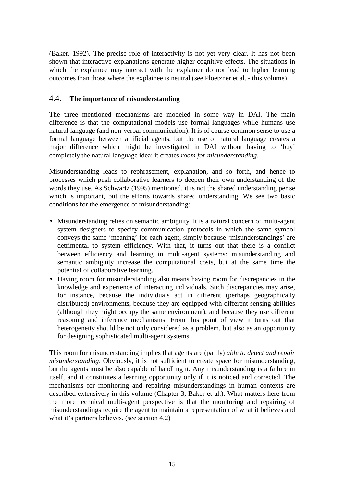(Baker, 1992). The precise role of interactivity is not yet very clear. It has not been shown that interactive explanations generate higher cognitive effects. The situations in which the explainee may interact with the explainer do not lead to higher learning outcomes than those where the explainee is neutral (see Ploetzner et al. - this volume).

#### 4.4. **The importance of misunderstanding**

The three mentioned mechanisms are modeled in some way in DAI. The main difference is that the computational models use formal languages while humans use natural language (and non-verbal communication). It is of course common sense to use a formal language between artificial agents, but the use of natural language creates a major difference which might be investigated in DAI without having to 'buy' completely the natural language idea: it creates *room for misunderstanding*.

Misunderstanding leads to rephrasement, explanation, and so forth, and hence to processes which push collaborative learners to deepen their own understanding of the words they use. As Schwartz (1995) mentioned, it is not the shared understanding per se which is important, but the efforts towards shared understanding. We see two basic conditions for the emergence of misunderstanding:

- Misunderstanding relies on semantic ambiguity. It is a natural concern of multi-agent system designers to specify communication protocols in which the same symbol conveys the same 'meaning' for each agent, simply because 'misunderstandings' are detrimental to system efficiency. With that, it turns out that there is a conflict between efficiency and learning in multi-agent systems: misunderstanding and semantic ambiguity increase the computational costs, but at the same time the potential of collaborative learning.
- Having room for misunderstanding also means having room for discrepancies in the knowledge and experience of interacting individuals. Such discrepancies may arise, for instance, because the individuals act in different (perhaps geographically distributed) environments, because they are equipped with different sensing abilities (although they might occupy the same environment), and because they use different reasoning and inference mechanisms. From this point of view it turns out that heterogeneity should be not only considered as a problem, but also as an opportunity for designing sophisticated multi-agent systems.

This room for misunderstanding implies that agents are (partly) *able to detect and repair misunderstanding*. Obviously, it is not sufficient to create space for misunderstanding, but the agents must be also capable of handling it. Any misunderstanding is a failure in itself, and it constitutes a learning opportunity only if it is noticed and corrected. The mechanisms for monitoring and repairing misunderstandings in human contexts are described extensively in this volume (Chapter 3, Baker et al.). What matters here from the more technical multi-agent perspective is that the monitoring and repairing of misunderstandings require the agent to maintain a representation of what it believes and what it's partners believes. (see section 4.2)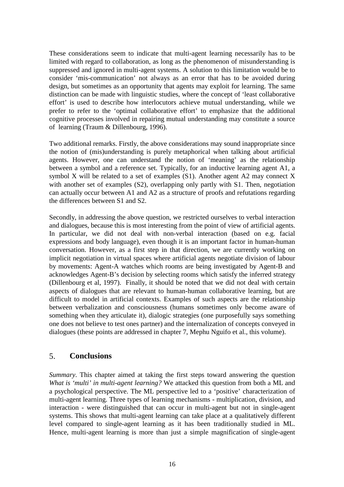These considerations seem to indicate that multi-agent learning necessarily has to be limited with regard to collaboration, as long as the phenomenon of misunderstanding is suppressed and ignored in multi-agent systems. A solution to this limitation would be to consider 'mis-communication' not always as an error that has to be avoided during design, but sometimes as an opportunity that agents may exploit for learning. The same distinction can be made with linguistic studies, where the concept of 'least collaborative effort' is used to describe how interlocutors achieve mutual understanding, while we prefer to refer to the 'optimal collaborative effort' to emphasize that the additional cognitive processes involved in repairing mutual understanding may constitute a source of learning (Traum & Dillenbourg, 1996).

Two additional remarks. Firstly, the above considerations may sound inappropriate since the notion of (mis)understanding is purely metaphorical when talking about artificial agents. However, one can understand the notion of 'meaning' as the relationship between a symbol and a reference set. Typically, for an inductive learning agent A1, a symbol X will be related to a set of examples  $(S1)$ . Another agent A2 may connect X with another set of examples (S2), overlapping only partly with S1. Then, negotiation can actually occur between A1 and A2 as a structure of proofs and refutations regarding the differences between S1 and S2.

Secondly, in addressing the above question, we restricted ourselves to verbal interaction and dialogues, because this is most interesting from the point of view of artificial agents. In particular, we did not deal with non-verbal interaction (based on e.g. facial expressions and body language), even though it is an important factor in human-human conversation. However, as a first step in that direction, we are currently working on implicit negotiation in virtual spaces where artificial agents negotiate division of labour by movements: Agent-A watches which rooms are being investigated by Agent-B and acknowledges Agent-B's decision by selecting rooms which satisfy the inferred strategy (Dillenbourg et al, 1997). Finally, it should be noted that we did not deal with certain aspects of dialogues that are relevant to human-human collaborative learning, but are difficult to model in artificial contexts. Examples of such aspects are the relationship between verbalization and consciousness (humans sometimes only become aware of something when they articulate it), dialogic strategies (one purposefully says something one does not believe to test ones partner) and the internalization of concepts conveyed in dialogues (these points are addressed in chapter 7, Mephu Nguifo et al., this volume).

## 5. **Conclusions**

*Summary*. This chapter aimed at taking the first steps toward answering the question *What is 'multi' in multi-agent learning?* We attacked this question from both a ML and a psychological perspective. The ML perspective led to a 'positive' characterization of multi-agent learning. Three types of learning mechanisms - multiplication, division, and interaction - were distinguished that can occur in multi-agent but not in single-agent systems. This shows that multi-agent learning can take place at a qualitatively different level compared to single-agent learning as it has been traditionally studied in ML. Hence, multi-agent learning is more than just a simple magnification of single-agent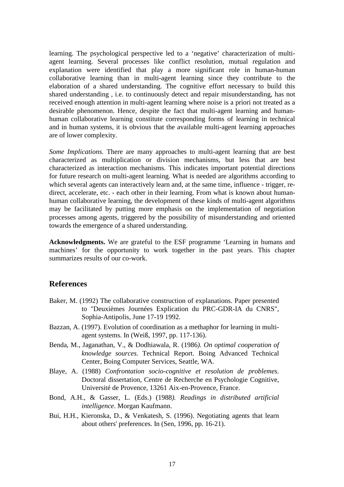learning. The psychological perspective led to a 'negative' characterization of multiagent learning. Several processes like conflict resolution, mutual regulation and explanation were identified that play a more significant role in human-human collaborative learning than in multi-agent learning since they contribute to the elaboration of a shared understanding. The cognitive effort necessary to build this shared understanding , i.e. to continuously detect and repair misunderstanding, has not received enough attention in multi-agent learning where noise is a priori not treated as a desirable phenomenon. Hence, despite the fact that multi-agent learning and humanhuman collaborative learning constitute corresponding forms of learning in technical and in human systems, it is obvious that the available multi-agent learning approaches are of lower complexity.

*Some Implications.* There are many approaches to multi-agent learning that are best characterized as multiplication or division mechanisms, but less that are best characterized as interaction mechanisms. This indicates important potential directions for future research on multi-agent learning. What is needed are algorithms according to which several agents can interactively learn and, at the same time, influence - trigger, redirect, accelerate, etc. - each other in their learning. From what is known about humanhuman collaborative learning, the development of these kinds of multi-agent algorithms may be facilitated by putting more emphasis on the implementation of negotiation processes among agents, triggered by the possibility of misunderstanding and oriented towards the emergence of a shared understanding.

**Acknowledgments.** We are grateful to the ESF programme 'Learning in humans and machines' for the opportunity to work together in the past years. This chapter summarizes results of our co-work.

## **References**

- Baker, M. (1992) The collaborative construction of explanations. Paper presented to "Deuxièmes Journées Explication du PRC-GDR-IA du CNRS", Sophia-Antipolis, June 17-19 1992.
- Bazzan, A. (1997). Evolution of coordination as a methaphor for learning in multiagent systems. In (Weiß, 1997, pp. 117-136).
- Benda, M., Jaganathan, V., & Dodhiawala, R. (1986*). On optimal cooperation of knowledge sources.* Technical Report. Boing Advanced Technical Center, Boing Computer Services, Seattle, WA.
- Blaye, A. (1988) *Confrontation socio-cognitive et resolution de problemes.* Doctoral dissertation, Centre de Recherche en Psychologie Cognitive, Université de Provence, 13261 Aix-en-Provence, France.
- Bond, A.H., & Gasser, L. (Eds.) (1988*). Readings in distributed artificial intelligence*. Morgan Kaufmann.
- Bui, H.H., Kieronska, D., & Venkatesh, S. (1996). Negotiating agents that learn about others' preferences. In (Sen, 1996, pp. 16-21).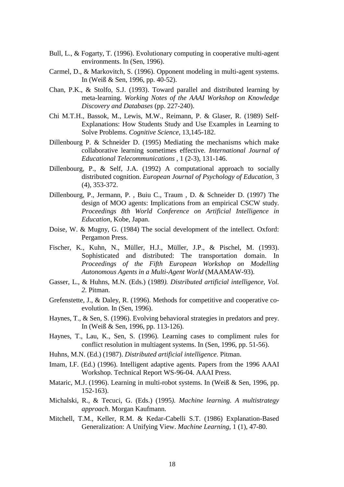- Bull, L., & Fogarty, T. (1996). Evolutionary computing in cooperative multi-agent environments. In (Sen, 1996).
- Carmel, D., & Markovitch, S. (1996). Opponent modeling in multi-agent systems. In (Weiß & Sen, 1996, pp. 40-52).
- Chan, P.K., & Stolfo, S.J. (1993). Toward parallel and distributed learning by meta-learning. *Working Notes of the AAAI Workshop on Knowledge Discovery and Databases* (pp. 227-240).
- Chi M.T.H., Bassok, M., Lewis, M.W., Reimann, P. & Glaser, R. (1989) Self-Explanations: How Students Study and Use Examples in Learning to Solve Problems. *Cognitive Science*, 13,145-182.
- Dillenbourg P. & Schneider D. (1995) Mediating the mechanisms which make collaborative learning sometimes effective. *International Journal of Educational Telecommunications* , 1 (2-3), 131-146.
- Dillenbourg, P., & Self, J.A. (1992) A computational approach to socially distributed cognition. *European Journal of Psychology of Education*, 3 (4), 353-372.
- Dillenbourg, P., Jermann, P. , Buiu C., Traum , D. & Schneider D. (1997) The design of MOO agents: Implications from an empirical CSCW study. *Proceedings 8th World Conference on Artificial Intelligence in Education*, Kobe, Japan.
- Doise, W. & Mugny, G. (1984) The social development of the intellect. Oxford: Pergamon Press.
- Fischer, K., Kuhn, N., Müller, H.J., Müller, J.P., & Pischel, M. (1993). Sophisticated and distributed: The transportation domain. In *Proceedings of the Fifth European Workshop on Modelling Autonomous Agents in a Multi-Agent World* (MAAMAW-93).
- Gasser, L., & Huhns, M.N. (Eds.) (1989*). Distributed artificial intelligence, Vol. 2.* Pitman.
- Grefenstette, J., & Daley, R. (1996). Methods for competitive and cooperative coevolution. In (Sen, 1996).
- Haynes, T., & Sen, S. (1996). Evolving behavioral strategies in predators and prey. In (Weiß & Sen, 1996, pp. 113-126).
- Haynes, T., Lau, K., Sen, S. (1996). Learning cases to compliment rules for conflict resolution in multiagent systems. In (Sen, 1996, pp. 51-56).
- Huhns, M.N. (Ed.) (1987). *Distributed artificial intelligence*. Pitman.
- Imam, I.F. (Ed.) (1996). Intelligent adaptive agents. Papers from the 1996 AAAI Workshop. Technical Report WS-96-04. AAAI Press.
- Mataric, M.J. (1996). Learning in multi-robot systems. In (Weiß & Sen, 1996, pp. 152-163).
- Michalski, R., & Tecuci, G. (Eds.) (1995*). Machine learning. A multistrategy approach*. Morgan Kaufmann.
- Mitchell, T.M., Keller, R.M. & Kedar-Cabelli S.T. (1986) Explanation-Based Generalization: A Unifying View. *Machine Learning*, 1 (1), 47-80.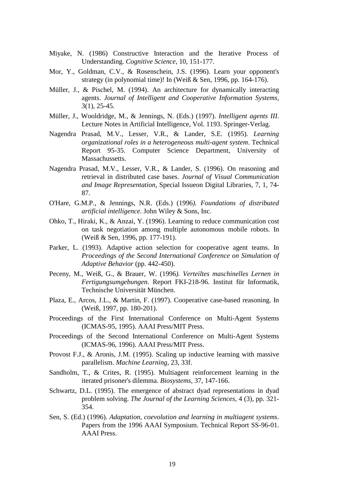- Miyake, N. (1986) Constructive Interaction and the Iterative Process of Understanding. *Cognitive Science*, 10, 151-177.
- Mor, Y., Goldman, C.V., & Rosenschein, J.S. (1996). Learn your opponent's strategy (in polynomial time)! In (Weiß & Sen, 1996, pp. 164-176).
- Müller, J., & Pischel, M. (1994). An architecture for dynamically interacting agents. *Journal of Intelligent and Cooperative Information Systems*, 3(1), 25-45.
- Müller, J., Wooldridge, M., & Jennings, N. (Eds.) (1997). *Intelligent agents III*. Lecture Notes in Artificial Intelligence, Vol. 1193. Springer-Verlag.
- Nagendra Prasad, M.V., Lesser, V.R., & Lander, S.E. (1995). *Learning organizational roles in a heterogeneous multi-agent system*. Technical Report 95-35. Computer Science Department, University of Massachussetts.
- Nagendra Prasad, M.V., Lesser, V.R., & Lander, S. (1996). On reasoning and retrieval in distributed case bases. *Journal of Visual Communication and Image Representation*, Special Issueon Digital Libraries, 7, 1, 74- 87.
- O'Hare, G.M.P., & Jennings, N.R. (Eds.) (1996*). Foundations of distributed artificial intelligence.* John Wiley & Sons, Inc.
- Ohko, T., Hiraki, K., & Anzai, Y. (1996). Learning to reduce communication cost on task negotiation among multiple autonomous mobile robots. In (Weiß & Sen, 1996, pp. 177-191).
- Parker, L. (1993). Adaptive action selection for cooperative agent teams. In *Proceedings of the Second International Conference on Simulation of Adaptive Behavior* (pp. 442-450).
- Peceny, M., Weiß, G., & Brauer, W. (1996*). Verteiltes maschinelles Lernen in Fertigungsumgebungen*. Report FKI-218-96. Institut für Informatik, Technische Universität München.
- Plaza, E., Arcos, J.L., & Martin, F. (1997). Cooperative case-based reasoning. In (Weiß, 1997, pp. 180-201).
- Proceedings of the First International Conference on Multi-Agent Systems (ICMAS-95, 1995). AAAI Press/MIT Press.
- Proceedings of the Second International Conference on Multi-Agent Systems (ICMAS-96, 1996). AAAI Press/MIT Press.
- Provost F.J., & Aronis, J.M. (1995). Scaling up inductive learning with massive parallelism. *Machine Learning*, 23, 33f.
- Sandholm, T., & Crites, R. (1995). Multiagent reinforcement learning in the iterated prisoner's dilemma. *Biosystems*, 37, 147-166.
- Schwartz, D.L. (1995). The emergence of abstract dyad representations in dyad problem solving. *The Journal of the Learning Sciences*, 4 (3), pp. 321- 354.
- Sen, S. (Ed.) (1996). *Adaptation, coevolution and learning in multiagent systems*. Papers from the 1996 AAAI Symposium. Technical Report SS-96-01. AAAI Press.